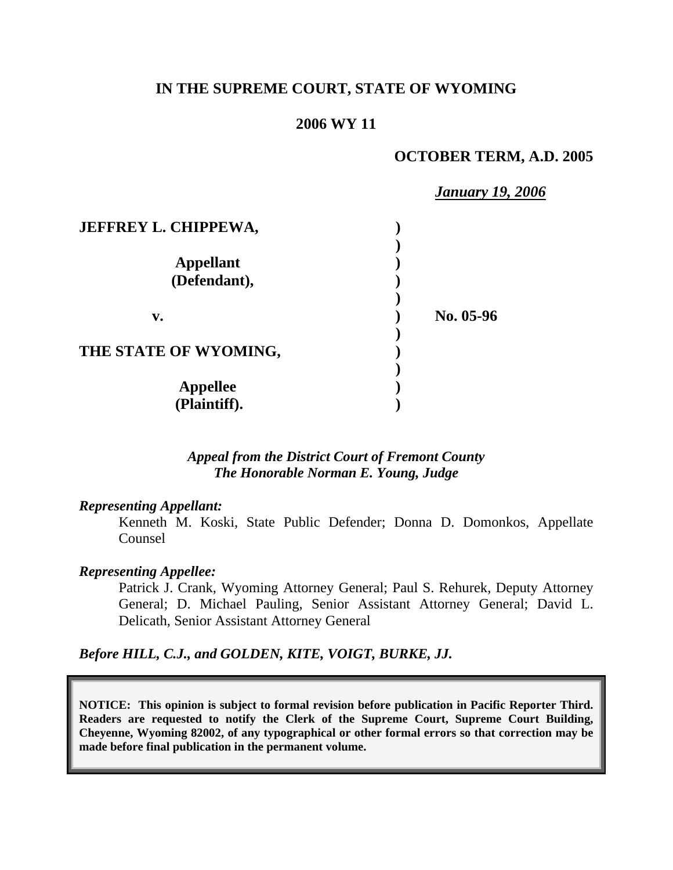## **IN THE SUPREME COURT, STATE OF WYOMING**

## **2006 WY 11**

### **OCTOBER TERM, A.D. 2005**

|                             | <b>January 19, 2006</b> |
|-----------------------------|-------------------------|
| <b>JEFFREY L. CHIPPEWA,</b> |                         |
|                             |                         |
| <b>Appellant</b>            |                         |
| (Defendant),                |                         |
|                             |                         |
| v.                          | No. 05-96               |
|                             |                         |
| THE STATE OF WYOMING,       |                         |
|                             |                         |
| <b>Appellee</b>             |                         |
| (Plaintiff).                |                         |

*Appeal from the District Court of Fremont County The Honorable Norman E. Young, Judge* 

#### *Representing Appellant:*

Kenneth M. Koski, State Public Defender; Donna D. Domonkos, Appellate Counsel

#### *Representing Appellee:*

Patrick J. Crank, Wyoming Attorney General; Paul S. Rehurek, Deputy Attorney General; D. Michael Pauling, Senior Assistant Attorney General; David L. Delicath, Senior Assistant Attorney General

*Before HILL, C.J., and GOLDEN, KITE, VOIGT, BURKE, JJ.* 

**NOTICE: This opinion is subject to formal revision before publication in Pacific Reporter Third. Readers are requested to notify the Clerk of the Supreme Court, Supreme Court Building, Cheyenne, Wyoming 82002, of any typographical or other formal errors so that correction may be made before final publication in the permanent volume.**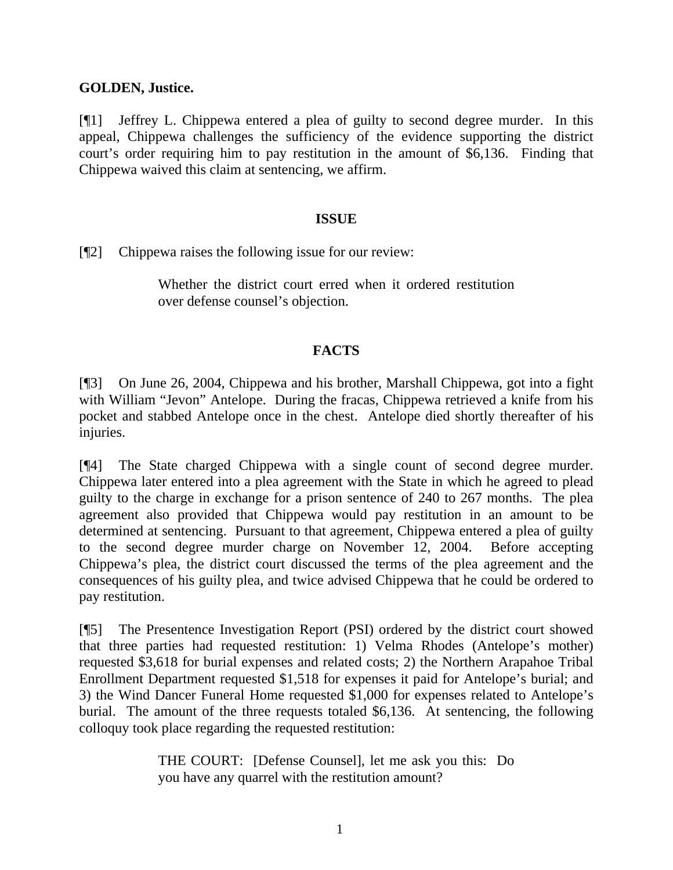## **GOLDEN, Justice.**

[¶1] Jeffrey L. Chippewa entered a plea of guilty to second degree murder. In this appeal, Chippewa challenges the sufficiency of the evidence supporting the district court's order requiring him to pay restitution in the amount of \$6,136. Finding that Chippewa waived this claim at sentencing, we affirm.

## **ISSUE**

[¶2] Chippewa raises the following issue for our review:

Whether the district court erred when it ordered restitution over defense counsel's objection.

# **FACTS**

[¶3] On June 26, 2004, Chippewa and his brother, Marshall Chippewa, got into a fight with William "Jevon" Antelope. During the fracas, Chippewa retrieved a knife from his pocket and stabbed Antelope once in the chest. Antelope died shortly thereafter of his injuries.

[¶4] The State charged Chippewa with a single count of second degree murder. Chippewa later entered into a plea agreement with the State in which he agreed to plead guilty to the charge in exchange for a prison sentence of 240 to 267 months. The plea agreement also provided that Chippewa would pay restitution in an amount to be determined at sentencing. Pursuant to that agreement, Chippewa entered a plea of guilty to the second degree murder charge on November 12, 2004. Before accepting Chippewa's plea, the district court discussed the terms of the plea agreement and the consequences of his guilty plea, and twice advised Chippewa that he could be ordered to pay restitution.

[¶5] The Presentence Investigation Report (PSI) ordered by the district court showed that three parties had requested restitution: 1) Velma Rhodes (Antelope's mother) requested \$3,618 for burial expenses and related costs; 2) the Northern Arapahoe Tribal Enrollment Department requested \$1,518 for expenses it paid for Antelope's burial; and 3) the Wind Dancer Funeral Home requested \$1,000 for expenses related to Antelope's burial. The amount of the three requests totaled \$6,136. At sentencing, the following colloquy took place regarding the requested restitution:

> THE COURT: [Defense Counsel], let me ask you this: Do you have any quarrel with the restitution amount?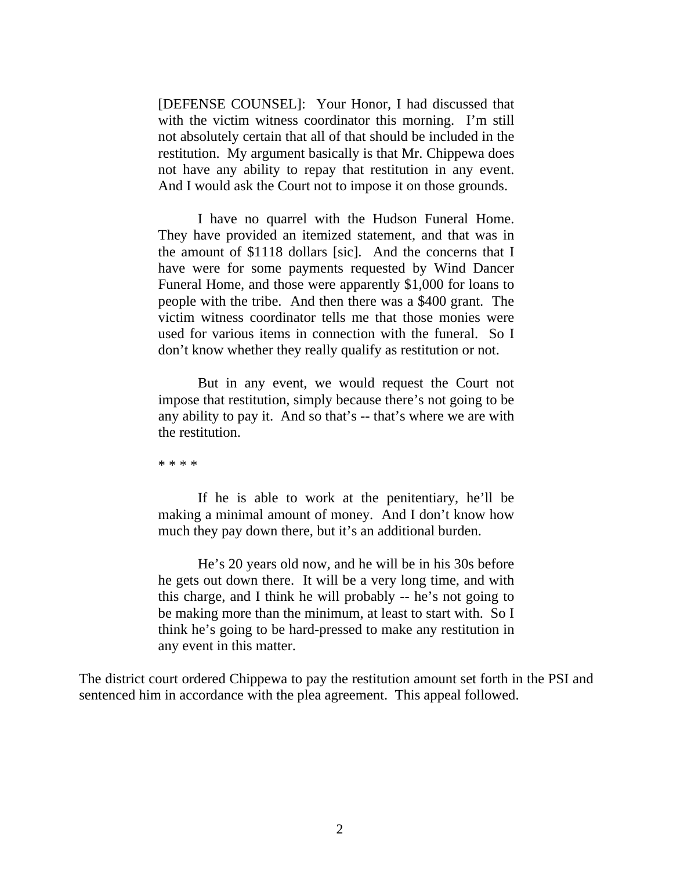[DEFENSE COUNSEL]: Your Honor, I had discussed that with the victim witness coordinator this morning. I'm still not absolutely certain that all of that should be included in the restitution. My argument basically is that Mr. Chippewa does not have any ability to repay that restitution in any event. And I would ask the Court not to impose it on those grounds.

I have no quarrel with the Hudson Funeral Home. They have provided an itemized statement, and that was in the amount of \$1118 dollars [sic]. And the concerns that I have were for some payments requested by Wind Dancer Funeral Home, and those were apparently \$1,000 for loans to people with the tribe. And then there was a \$400 grant. The victim witness coordinator tells me that those monies were used for various items in connection with the funeral. So I don't know whether they really qualify as restitution or not.

But in any event, we would request the Court not impose that restitution, simply because there's not going to be any ability to pay it. And so that's -- that's where we are with the restitution.

\* \* \* \*

If he is able to work at the penitentiary, he'll be making a minimal amount of money. And I don't know how much they pay down there, but it's an additional burden.

He's 20 years old now, and he will be in his 30s before he gets out down there. It will be a very long time, and with this charge, and I think he will probably -- he's not going to be making more than the minimum, at least to start with. So I think he's going to be hard-pressed to make any restitution in any event in this matter.

The district court ordered Chippewa to pay the restitution amount set forth in the PSI and sentenced him in accordance with the plea agreement. This appeal followed.